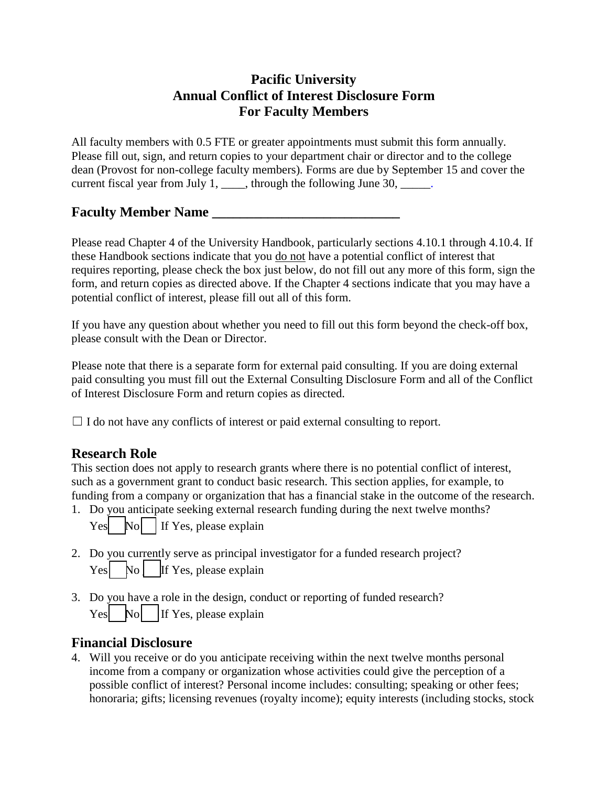## **Pacific University Annual Conflict of Interest Disclosure Form For Faculty Members**

All faculty members with 0.5 FTE or greater appointments must submit this form annually. Please fill out, sign, and return copies to your department chair or director and to the college dean (Provost for non-college faculty members). Forms are due by September 15 and cover the current fiscal year from July 1, \_\_\_\_, through the following June 30, \_\_\_\_\_.

### **Faculty Member Name \_\_\_\_\_\_\_\_\_\_\_\_\_\_\_\_\_\_\_\_\_\_\_\_\_\_\_**

Please read Chapter 4 of the University Handbook, particularly sections 4.10.1 through 4.10.4. If these Handbook sections indicate that you do not have a potential conflict of interest that requires reporting, please check the box just below, do not fill out any more of this form, sign the form, and return copies as directed above. If the Chapter 4 sections indicate that you may have a potential conflict of interest, please fill out all of this form.

If you have any question about whether you need to fill out this form beyond the check-off box, please consult with the Dean or Director.

Please note that there is a separate form for external paid consulting. If you are doing external paid consulting you must fill out the External Consulting Disclosure Form and all of the Conflict of Interest Disclosure Form and return copies as directed.

 $\Box$  I do not have any conflicts of interest or paid external consulting to report.

# **Research Role**

This section does not apply to research grants where there is no potential conflict of interest, such as a government grant to conduct basic research. This section applies, for example, to funding from a company or organization that has a financial stake in the outcome of the research.

1. Do you anticipate seeking external research funding during the next twelve months?

| Yes |  |  | $\mathbb{N}$ o   If Yes, please explain |
|-----|--|--|-----------------------------------------|
|-----|--|--|-----------------------------------------|

- 2. Do you currently serve as principal investigator for a funded research project?  $Yes$  No  $\parallel$  If Yes, please explain
- 3. Do you have a role in the design, conduct or reporting of funded research?  $\begin{bmatrix} \n\text{Yes} \\
\text{No} \\
\end{bmatrix}$  If Yes, please explain

### **Financial Disclosure**

4. Will you receive or do you anticipate receiving within the next twelve months personal income from a company or organization whose activities could give the perception of a possible conflict of interest? Personal income includes: consulting; speaking or other fees; honoraria; gifts; licensing revenues (royalty income); equity interests (including stocks, stock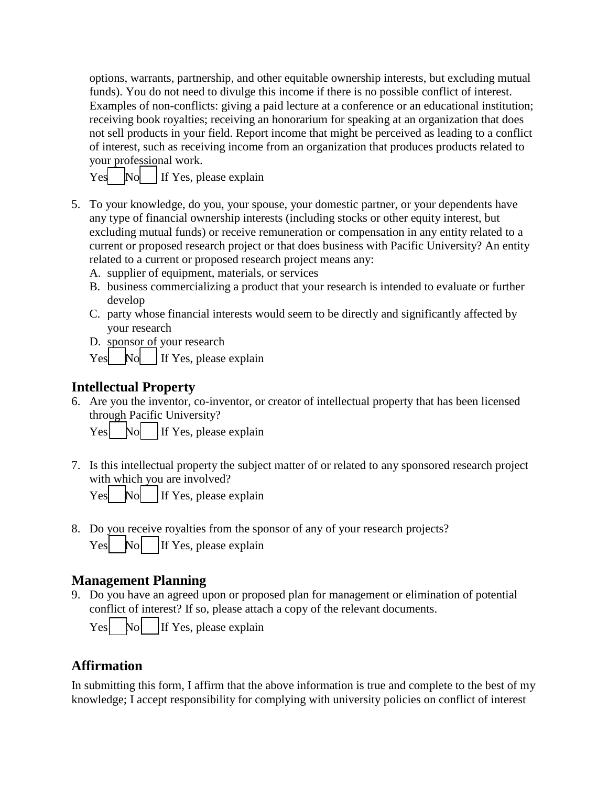options, warrants, partnership, and other equitable ownership interests, but excluding mutual funds). You do not need to divulge this income if there is no possible conflict of interest. Examples of non-conflicts: giving a paid lecture at a conference or an educational institution; receiving book royalties; receiving an honorarium for speaking at an organization that does not sell products in your field. Report income that might be perceived as leading to a conflict of interest, such as receiving income from an organization that produces products related to your professional work.

|  | Yes No If Yes, please explain |
|--|-------------------------------|
|--|-------------------------------|

- 5. To your knowledge, do you, your spouse, your domestic partner, or your dependents have any type of financial ownership interests (including stocks or other equity interest, but excluding mutual funds) or receive remuneration or compensation in any entity related to a current or proposed research project or that does business with Pacific University? An entity related to a current or proposed research project means any:
	- A. supplier of equipment, materials, or services
	- B. business commercializing a product that your research is intended to evaluate or further develop
	- C. party whose financial interests would seem to be directly and significantly affected by your research
	- D. sponsor of your research
	- Yes  $\begin{array}{|c|c|c|c|c|c|} \hline \text{Nol} & \text{If Yes, please explain} \hline \end{array}$

# **Intellectual Property**

6. Are you the inventor, co-inventor, or creator of intellectual property that has been licensed through Pacific University?

 $\begin{array}{c|c}\n \text{Yes} & \text{No} \\
 \hline\n \text{If Yes, please explain}\n \end{array}$ 

7. Is this intellectual property the subject matter of or related to any sponsored research project with which you are involved?

| Yes |  |  |  |  | $\begin{bmatrix} \n\text{No} \n\end{bmatrix}$ If Yes, please explain |
|-----|--|--|--|--|----------------------------------------------------------------------|
|-----|--|--|--|--|----------------------------------------------------------------------|

8. Do you receive royalties from the sponsor of any of your research projects? Yes  $\begin{bmatrix} \begin{array}{c} \begin{array}{c} \end{array} \\ \begin{array}{c} \end{array} \end{bmatrix}$  No  $\begin{bmatrix} \begin{array}{c} \end{array} \\ \begin{array}{c} \end{array} \end{bmatrix}$  If Yes, please explain

# **Management Planning**

9. Do you have an agreed upon or proposed plan for management or elimination of potential conflict of interest? If so, please attach a copy of the relevant documents.

Yes  $\begin{bmatrix} \begin{array}{c} \begin{array}{c} \begin{array}{c} \end{array} \\ \begin{array}{c} \end{array} \end{bmatrix} & \begin{array}{c} \begin{array}{c} \end{array} \\ \end{array} \\ \end{bmatrix}$  If Yes, please explain

### **Affirmation**

In submitting this form, I affirm that the above information is true and complete to the best of my knowledge; I accept responsibility for complying with university policies on conflict of interest